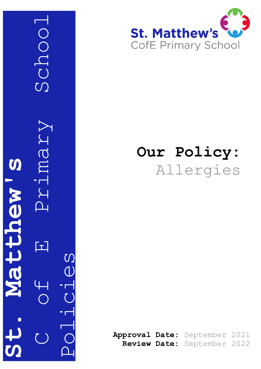C Grimary School Schoo Vieurz S **St. Matthew's** atthew 口 Policies



## **Our Policy:** Allergies

**Approval Date:** September 2021 **Review Date:** September 2022